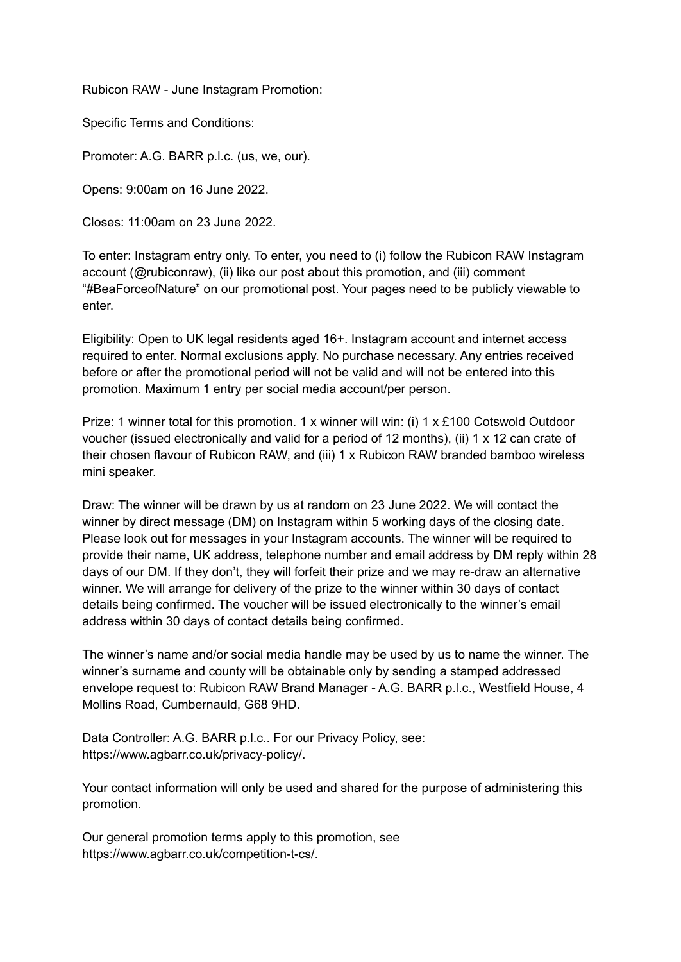Rubicon RAW - June Instagram Promotion:

Specific Terms and Conditions:

Promoter: A.G. BARR p.l.c. (us, we, our).

Opens: 9:00am on 16 June 2022.

Closes: 11:00am on 23 June 2022.

To enter: Instagram entry only. To enter, you need to (i) follow the Rubicon RAW Instagram account (@rubiconraw), (ii) like our post about this promotion, and (iii) comment "#BeaForceofNature" on our promotional post. Your pages need to be publicly viewable to enter.

Eligibility: Open to UK legal residents aged 16+. Instagram account and internet access required to enter. Normal exclusions apply. No purchase necessary. Any entries received before or after the promotional period will not be valid and will not be entered into this promotion. Maximum 1 entry per social media account/per person.

Prize: 1 winner total for this promotion. 1 x winner will win: (i) 1 x £100 Cotswold Outdoor voucher (issued electronically and valid for a period of 12 months), (ii) 1 x 12 can crate of their chosen flavour of Rubicon RAW, and (iii) 1 x Rubicon RAW branded bamboo wireless mini speaker.

Draw: The winner will be drawn by us at random on 23 June 2022. We will contact the winner by direct message (DM) on Instagram within 5 working days of the closing date. Please look out for messages in your Instagram accounts. The winner will be required to provide their name, UK address, telephone number and email address by DM reply within 28 days of our DM. If they don't, they will forfeit their prize and we may re-draw an alternative winner. We will arrange for delivery of the prize to the winner within 30 days of contact details being confirmed. The voucher will be issued electronically to the winner's email address within 30 days of contact details being confirmed.

The winner's name and/or social media handle may be used by us to name the winner. The winner's surname and county will be obtainable only by sending a stamped addressed envelope request to: Rubicon RAW Brand Manager - A.G. BARR p.l.c., Westfield House, 4 Mollins Road, Cumbernauld, G68 9HD.

Data Controller: A.G. BARR p.l.c.. For our Privacy Policy, see: https://www.agbarr.co.uk/privacy-policy/.

Your contact information will only be used and shared for the purpose of administering this promotion.

Our general promotion terms apply to this promotion, see https://www.agbarr.co.uk/competition-t-cs/.